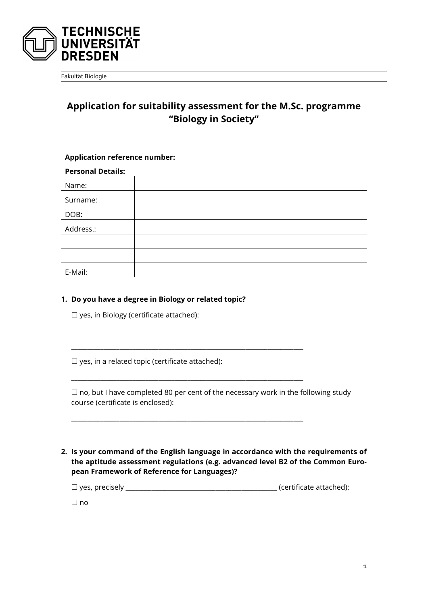

Fakultät Biologie

## **Application for suitability assessment for the M.Sc. programme "Biology in Society"**

| <b>Application reference number:</b> |  |  |  |
|--------------------------------------|--|--|--|
| <b>Personal Details:</b>             |  |  |  |
| Name:                                |  |  |  |
| Surname:                             |  |  |  |
| DOB:                                 |  |  |  |
| Address.:                            |  |  |  |
|                                      |  |  |  |
|                                      |  |  |  |
| E-Mail:                              |  |  |  |

E-Mail:

## **1. Do you have a degree in Biology or related topic?**

□ yes, in Biology (certificate attached):

 $\Box$  yes, in a related topic (certificate attached):

 $\Box$  no, but I have completed 80 per cent of the necessary work in the following study course (certificate is enclosed):

\_\_\_\_\_\_\_\_\_\_\_\_\_\_\_\_\_\_\_\_\_\_\_\_\_\_\_\_\_\_\_\_\_\_\_\_\_\_\_\_\_\_\_\_\_\_\_\_\_\_\_\_\_\_\_\_\_\_\_\_\_\_\_\_\_\_\_\_\_\_\_\_

\_\_\_\_\_\_\_\_\_\_\_\_\_\_\_\_\_\_\_\_\_\_\_\_\_\_\_\_\_\_\_\_\_\_\_\_\_\_\_\_\_\_\_\_\_\_\_\_\_\_\_\_\_\_\_\_\_\_\_\_\_\_\_\_\_\_\_\_\_\_\_\_

\_\_\_\_\_\_\_\_\_\_\_\_\_\_\_\_\_\_\_\_\_\_\_\_\_\_\_\_\_\_\_\_\_\_\_\_\_\_\_\_\_\_\_\_\_\_\_\_\_\_\_\_\_\_\_\_\_\_\_\_\_\_\_\_\_\_\_\_\_\_\_\_

**2. Is your command of the English language in accordance with the requirements of the aptitude assessment regulations (e.g. advanced level B2 of the Common European Framework of Reference for Languages)?**

yes, precisely \_\_\_\_\_\_\_\_\_\_\_\_\_\_\_\_\_\_\_\_\_\_\_\_\_\_\_\_\_\_\_\_\_\_\_\_\_\_\_\_\_\_\_\_\_\_\_ (certificate attached):

 $\Box$  no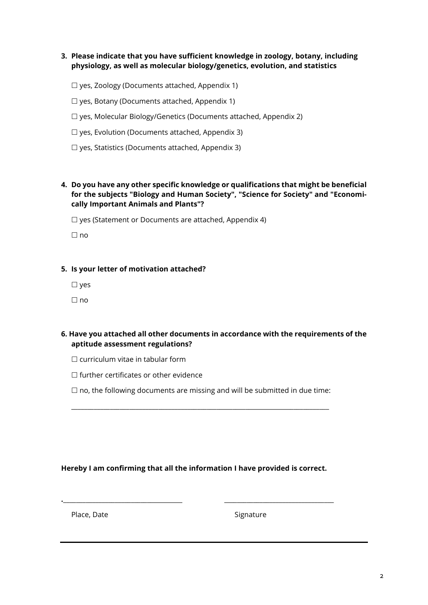- **3. Please indicate that you have sufficient knowledge in zoology, botany, including physiology, as well as molecular biology/genetics, evolution, and statistics**
	- $\Box$  yes, Zoology (Documents attached, Appendix 1)
	- $\Box$  yes, Botany (Documents attached, Appendix 1)
	- yes, Molecular Biology/Genetics (Documents attached, Appendix 2)
	- $\Box$  yes, Evolution (Documents attached, Appendix 3)
	- $\Box$  yes, Statistics (Documents attached, Appendix 3)
- **4. Do you have any other specific knowledge or qualifications that might be beneficial for the subjects "Biology and Human Society", "Science for Society" and "Economically Important Animals and Plants"?**

 $\Box$  yes (Statement or Documents are attached, Appendix 4)

 $\Box$  no

## **5. Is your letter of motivation attached?**

 $\square$  yes

 $\Box$  no

- **6. Have you attached all other documents in accordance with the requirements of the aptitude assessment regulations?**
	- $\Box$  curriculum vitae in tabular form
	- $\Box$  further certificates or other evidence
	- $\Box$  no, the following documents are missing and will be submitted in due time:

\_\_\_\_\_\_\_\_\_\_\_\_\_\_\_\_\_\_\_\_\_\_\_\_\_\_\_\_\_\_\_\_\_\_\_\_\_\_\_\_\_\_\_\_\_\_\_\_\_\_\_\_\_\_\_\_\_\_\_\_\_\_\_\_\_\_\_\_\_\_\_\_\_\_\_\_\_\_\_\_

## **Hereby I am confirming that all the information I have provided is correct.**

**.**\_\_\_\_\_\_\_\_\_\_\_\_\_\_\_\_\_\_\_\_\_\_\_\_\_\_\_\_\_\_\_\_\_\_\_\_\_ \_\_\_\_\_\_\_\_\_\_\_\_\_\_\_\_\_\_\_\_\_\_\_\_\_\_\_\_\_\_\_\_\_\_

Place, Date Signature Signature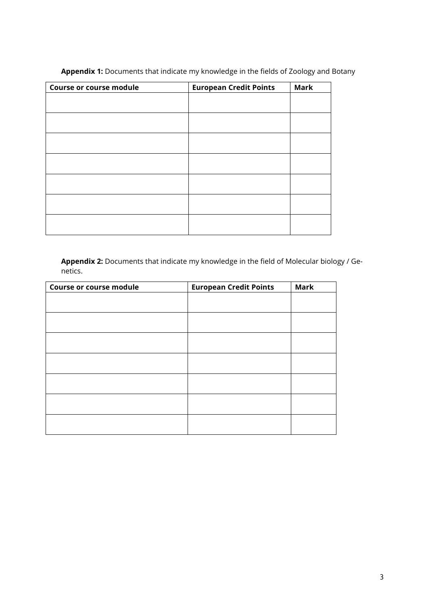| <b>Course or course module</b> | <b>European Credit Points</b> | <b>Mark</b> |
|--------------------------------|-------------------------------|-------------|
|                                |                               |             |
|                                |                               |             |
|                                |                               |             |
|                                |                               |             |
|                                |                               |             |
|                                |                               |             |
|                                |                               |             |
|                                |                               |             |
|                                |                               |             |
|                                |                               |             |
|                                |                               |             |
|                                |                               |             |

**Appendix 1:** Documents that indicate my knowledge in the fields of Zoology and Botany

**Appendix 2:** Documents that indicate my knowledge in the field of Molecular biology / Genetics.

| <b>Course or course module</b> | <b>European Credit Points</b> | <b>Mark</b> |
|--------------------------------|-------------------------------|-------------|
|                                |                               |             |
|                                |                               |             |
|                                |                               |             |
|                                |                               |             |
|                                |                               |             |
|                                |                               |             |
|                                |                               |             |
|                                |                               |             |
|                                |                               |             |
|                                |                               |             |
|                                |                               |             |
|                                |                               |             |
|                                |                               |             |